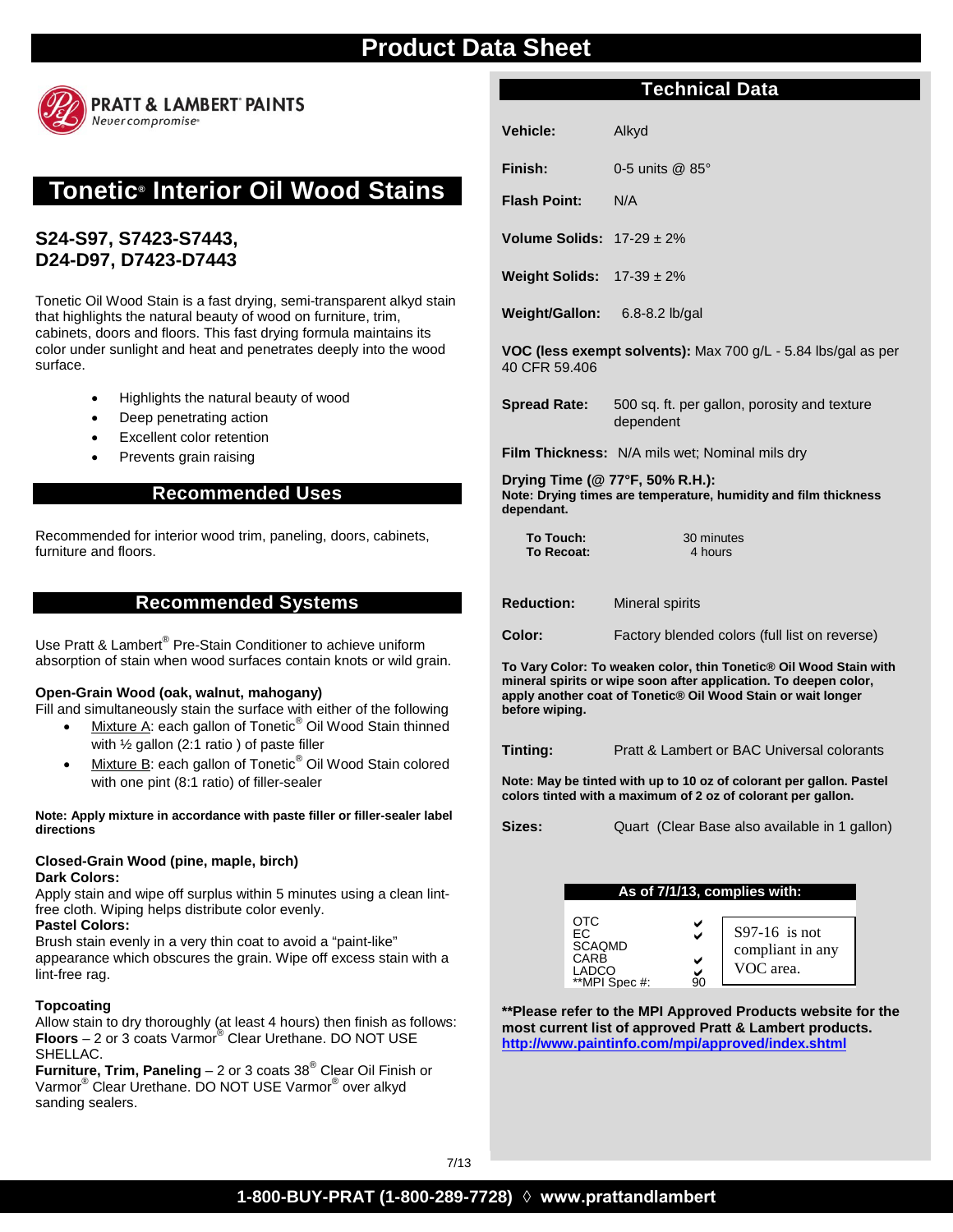

# **Tonetic® Interior Oil Wood Stains**

# **S24-S97, S7423-S7443, D24-D97, D7423-D7443**

Tonetic Oil Wood Stain is a fast drying, semi-transparent alkyd stain that highlights the natural beauty of wood on furniture, trim, cabinets, doors and floors. This fast drying formula maintains its color under sunlight and heat and penetrates deeply into the wood surface.

- Highlights the natural beauty of wood
- Deep penetrating action
- **Excellent color retention**
- Prevents grain raising

### **Recommended Uses**

Recommended for interior wood trim, paneling, doors, cabinets, furniture and floors.

### **Recommended Systems**

Use Pratt & Lambert® Pre-Stain Conditioner to achieve uniform absorption of stain when wood surfaces contain knots or wild grain.

#### **Open-Grain Wood (oak, walnut, mahogany)**

Fill and simultaneously stain the surface with either of the following

- Mixture A: each gallon of Tonetic<sup>®</sup> Oil Wood Stain thinned with ½ gallon (2:1 ratio ) of paste filler
- Mixture B: each gallon of Tonetic<sup>®</sup> Oil Wood Stain colored with one pint (8:1 ratio) of filler-sealer

**Note: Apply mixture in accordance with paste filler or filler-sealer label directions**

#### **Closed-Grain Wood (pine, maple, birch) Dark Colors:**

Apply stain and wipe off surplus within 5 minutes using a clean lintfree cloth. Wiping helps distribute color evenly.

#### **Pastel Colors:**

Brush stain evenly in a very thin coat to avoid a "paint-like" appearance which obscures the grain. Wipe off excess stain with a lint-free rag.

#### **Topcoating**

Allow stain to dry thoroughly (at least 4 hours) then finish as follows: **Floors** – 2 or 3 coats Varmor® Clear Urethane. DO NOT USE SHELLAC.

**Furniture, Trim, Paneling** – 2 or 3 coats 38® Clear Oil Finish or Varmor® Clear Urethane. DO NOT USE Varmor® over alkyd sanding sealers.

# **Technical Data**

**Vehicle:** Alkyd

**Finish:** 0-5 units @ 85°

**Flash Point:** N/A

**Volume Solids:** 17-29 ± 2%

**Weight Solids:** 17-39 ± 2%

**Weight/Gallon:** 6.8-8.2 lb/gal

**VOC (less exempt solvents):** Max 700 g/L - 5.84 lbs/gal as per 40 CFR 59.406

**Spread Rate:** 500 sq. ft. per gallon, porosity and texture dependent

**Film Thickness:** N/A mils wet; Nominal mils dry

**Drying Time (@ 77°F, 50% R.H.): Note: Drying times are temperature, humidity and film thickness dependant.**

**To Touch:** 30 minutes<br> **To Recoat:** 4 hours **To Recoat:** 

**Reduction:** Mineral spirits

**Color:** Factory blended colors (full list on reverse)

**To Vary Color: To weaken color, thin Tonetic® Oil Wood Stain with mineral spirits or wipe soon after application. To deepen color, apply another coat of Tonetic® Oil Wood Stain or wait longer before wiping.**

**Tinting:** Pratt & Lambert or BAC Universal colorants

**Note: May be tinted with up to 10 oz of colorant per gallon. Pastel colors tinted with a maximum of 2 oz of colorant per gallon.**

**Sizes:** Quart (Clear Base also available in 1 gallon)

#### **As of 7/1/13, complies with:**

**\*\*Please refer to the MPI Approved Products website for the most current list of approved Pratt & Lambert products. <http://www.paintinfo.com/mpi/approved/index.shtml>**

7/13